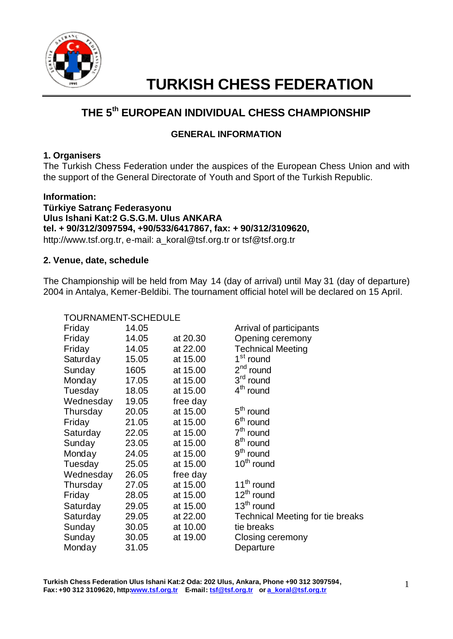

# **TURKISH CHESS FEDERATION**

# **THE 5 th EUROPEAN INDIVIDUAL CHESS CHAMPIONSHIP**

# **GENERAL INFORMATION**

# **1. Organisers**

The Turkish Chess Federation under the auspices of the European Chess Union and with the support of the General Directorate of Youth and Sport of the Turkish Republic.

# **Information:**

**Türkiye Satranç Federasyonu Ulus Ishani Kat:2 G.S.G.M. Ulus ANKARA tel. + 90/312/3097594, +90/533/6417867, fax: + 90/312/3109620,** http://www.tsf.org.tr, e-mail: a\_koral@tsf.org.tr or tsf@tsf.org.tr

# **2. Venue, date, schedule**

The Championship will be held from May 14 (day of arrival) until May 31 (day of departure) 2004 in Antalya, Kemer-Beldibi. The tournament official hotel will be declared on 15 April.

| TOURNAMENT-SCHEDULE |       |          |                                         |  |
|---------------------|-------|----------|-----------------------------------------|--|
| Friday              | 14.05 |          | Arrival of participants                 |  |
| Friday              | 14.05 | at 20.30 | Opening ceremony                        |  |
| Friday              | 14.05 | at 22.00 | <b>Technical Meeting</b>                |  |
| Saturday            | 15.05 | at 15.00 | 1 <sup>st</sup> round                   |  |
| Sunday              | 1605  | at 15.00 | $2nd$ round                             |  |
| Monday              | 17.05 | at 15.00 | $3rd$ round                             |  |
| Tuesday             | 18.05 | at 15.00 | $4th$ round                             |  |
| Wednesday           | 19.05 | free day |                                         |  |
| Thursday            | 20.05 | at 15.00 | $5th$ round                             |  |
| Friday              | 21.05 | at 15.00 | 6 <sup>th</sup> round                   |  |
| Saturday            | 22.05 | at 15.00 | $7th$ round                             |  |
| Sunday              | 23.05 | at 15.00 | 8 <sup>th</sup> round                   |  |
| Monday              | 24.05 | at 15.00 | $9th$ round                             |  |
| Tuesday             | 25.05 | at 15.00 | $10th$ round                            |  |
| Wednesday           | 26.05 | free day |                                         |  |
| Thursday            | 27.05 | at 15.00 | 11 <sup>th</sup> round                  |  |
| Friday              | 28.05 | at 15.00 | $12^{th}$ round                         |  |
| Saturday            | 29.05 | at 15.00 | $13th$ round                            |  |
| Saturday            | 29.05 | at 22.00 | <b>Technical Meeting for tie breaks</b> |  |
| Sunday              | 30.05 | at 10.00 | tie breaks                              |  |
| Sunday              | 30.05 | at 19.00 | Closing ceremony                        |  |
| Monday              | 31.05 |          | Departure                               |  |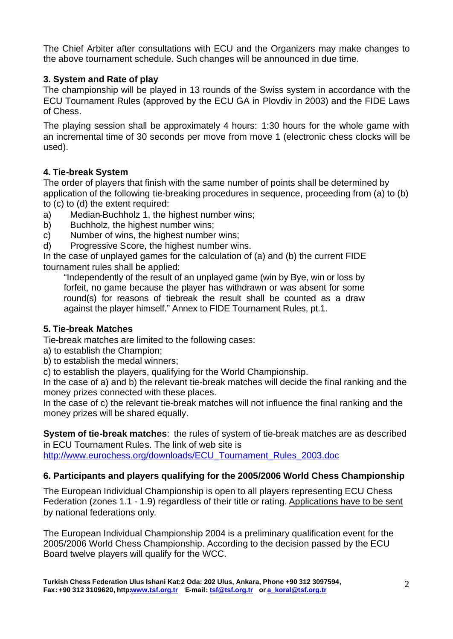The Chief Arbiter after consultations with ECU and the Organizers may make changes to the above tournament schedule. Such changes will be announced in due time.

# **3. System and Rate of play**

The championship will be played in 13 rounds of the Swiss system in accordance with the ECU Tournament Rules (approved by the ECU GA in Plovdiv in 2003) and the FIDE Laws of Chess.

The playing session shall be approximately 4 hours: 1:30 hours for the whole game with an incremental time of 30 seconds per move from move 1 (electronic chess clocks will be used).

# **4. Tie-break System**

The order of players that finish with the same number of points shall be determined by application of the following tie-breaking procedures in sequence, proceeding from (a) to (b) to (c) to (d) the extent required:

- a) Median-Buchholz 1, the highest number wins;
- b) Buchholz, the highest number wins;
- c) Number of wins, the highest number wins;
- d) Progressive Score, the highest number wins.

In the case of unplayed games for the calculation of (a) and (b) the current FIDE tournament rules shall be applied:

"Independently of the result of an unplayed game (win by Bye, win or loss by forfeit, no game because the player has withdrawn or was absent for some round(s) for reasons of tiebreak the result shall be counted as a draw against the player himself." Annex to FIDE Tournament Rules, pt.1.

# **5. Tie-break Matches**

Tie-break matches are limited to the following cases:

- a) to establish the Champion;
- b) to establish the medal winners;

c) to establish the players, qualifying for the World Championship.

In the case of a) and b) the relevant tie-break matches will decide the final ranking and the money prizes connected with these places.

In the case of c) the relevant tie-break matches will not influence the final ranking and the money prizes will be shared equally.

**System of tie-break matches**: the rules of system of tie-break matches are as described in ECU Tournament Rules. The link of web site is http://www.eurochess.org/downloads/ECU\_Tournament\_Rules\_2003.doc

# **6. Participants and players qualifying for the 2005/2006 World Chess Championship**

The European Individual Championship is open to all players representing ECU Chess Federation (zones 1.1 - 1.9) regardless of their title or rating. Applications have to be sent by national federations only.

The European Individual Championship 2004 is a preliminary qualification event for the 2005/2006 World Chess Championship. According to the decision passed by the ECU Board twelve players will qualify for the WCC.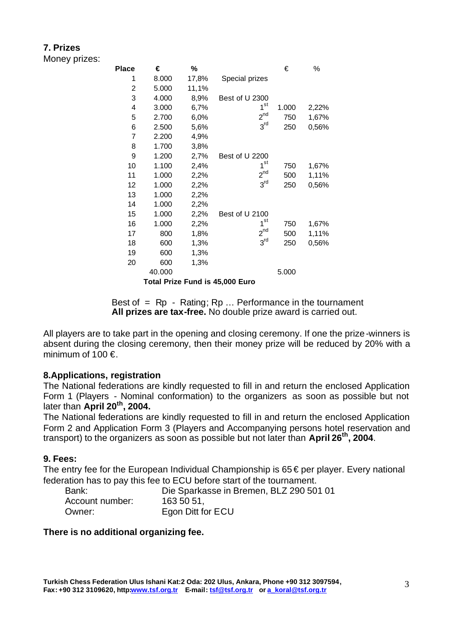# **7. Prizes**

Money prizes:

| <b>Place</b>                           | €      | %     |                 | €     | %     |  |  |
|----------------------------------------|--------|-------|-----------------|-------|-------|--|--|
| 1                                      | 8.000  | 17,8% | Special prizes  |       |       |  |  |
| 2                                      | 5.000  | 11,1% |                 |       |       |  |  |
| 3                                      | 4.000  | 8,9%  | Best of U 2300  |       |       |  |  |
| 4                                      | 3.000  | 6,7%  | 1 <sup>st</sup> | 1.000 | 2,22% |  |  |
| 5                                      | 2.700  | 6,0%  | $2^{nd}$        | 750   | 1,67% |  |  |
| 6                                      | 2.500  | 5,6%  | 3 <sup>rd</sup> | 250   | 0,56% |  |  |
| 7                                      | 2.200  | 4,9%  |                 |       |       |  |  |
| 8                                      | 1.700  | 3,8%  |                 |       |       |  |  |
| 9                                      | 1.200  | 2,7%  | Best of U 2200  |       |       |  |  |
| 10                                     | 1.100  | 2,4%  | $1^{\rm st}$    | 750   | 1,67% |  |  |
| 11                                     | 1.000  | 2,2%  | $2^{nd}$        | 500   | 1,11% |  |  |
| 12                                     | 1.000  | 2,2%  | 3 <sup>rd</sup> | 250   | 0,56% |  |  |
| 13                                     | 1.000  | 2,2%  |                 |       |       |  |  |
| 14                                     | 1.000  | 2,2%  |                 |       |       |  |  |
| 15                                     | 1.000  | 2,2%  | Best of U 2100  |       |       |  |  |
| 16                                     | 1.000  | 2,2%  | 1 <sup>st</sup> | 750   | 1,67% |  |  |
| 17                                     | 800    | 1,8%  | $2^{nd}$        | 500   | 1,11% |  |  |
| 18                                     | 600    | 1,3%  | 3 <sup>rd</sup> | 250   | 0,56% |  |  |
| 19                                     | 600    | 1,3%  |                 |       |       |  |  |
| 20                                     | 600    | 1,3%  |                 |       |       |  |  |
|                                        | 40.000 |       |                 | 5.000 |       |  |  |
| <b>Total Prize Fund is 45,000 Euro</b> |        |       |                 |       |       |  |  |

Best of  $=$  Rp  $-$  Rating; Rp ... Performance in the tournament **All prizes are tax-free.** No double prize award is carried out.

All players are to take part in the opening and closing ceremony. If one the prize-winners is absent during the closing ceremony, then their money prize will be reduced by 20% with a minimum of  $100 \in$ .

## **8.Applications, registration**

The National federations are kindly requested to fill in and return the enclosed Application Form 1 (Players - Nominal conformation) to the organizers as soon as possible but not later than **April 20 th, 2004.** 

The National federations are kindly requested to fill in and return the enclosed Application Form 2 and Application Form 3 (Players and Accompanying persons hotel reservation and transport) to the organizers as soon as possible but not later than **April 26th, 2004**.

#### **9. Fees:**

The entry fee for the European Individual Championship is  $65 \in$  per player. Every national federation has to pay this fee to ECU before start of the tournament.

| Bank:           | Die Sparkasse in Bremen, BLZ 290 501 01 |
|-----------------|-----------------------------------------|
| Account number: | 163 50 51,                              |
| Owner:          | Egon Ditt for ECU                       |

## **There is no additional organizing fee.**